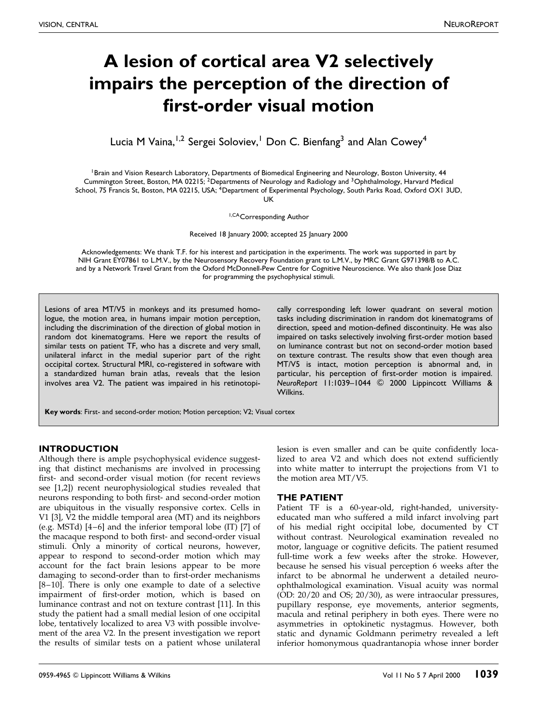# A lesion of cortical area V2 selectively impairs the perception of the direction of first-order visual motion

Lucia M Vaina,<sup>1,2</sup> Sergei Soloviev,<sup>1</sup> Don C. Bienfang<sup>3</sup> and Alan Cowey<sup>4</sup>

<sup>1</sup> Brain and Vision Research Laboratory, Departments of Biomedical Engineering and Neurology, Boston University, 44 Cummington Street, Boston, MA 02215; <sup>2</sup>Departments of Neurology and Radiology and <sup>3</sup>Ophthalmology, Harvard Medical School, 75 Francis St, Boston, MA 02215, USA; <sup>4</sup>Department of Experimental Psychology, South Parks Road, Oxford OX1 3UD, UK

1,CACorresponding Author

Received 18 January 2000; accepted 25 January 2000

Acknowledgements: We thank T.F. for his interest and participation in the experiments. The work was supported in part by NIH Grant EY07861 to L.M.V., by the Neurosensory Recovery Foundation grant to L.M.V., by MRC Grant G971398/B to A.C. and by a Network Travel Grant from the Oxford McDonnell-Pew Centre for Cognitive Neuroscience. We also thank Jose Diaz for programming the psychophysical stimuli.

Lesions of area MT/V5 in monkeys and its presumed homologue, the motion area, in humans impair motion perception, including the discrimination of the direction of global motion in random dot kinematograms. Here we report the results of similar tests on patient TF, who has a discrete and very small, unilateral infarct in the medial superior part of the right occipital cortex. Structural MRI, co-registered in software with a standardized human brain atlas, reveals that the lesion involves area V2. The patient was impaired in his retinotopically corresponding left lower quadrant on several motion tasks including discrimination in random dot kinematograms of direction, speed and motion-defined discontinuity. He was also impaired on tasks selectively involving first-order motion based on luminance contrast but not on second-order motion based on texture contrast. The results show that even though area MT/V5 is intact, motion perception is abnormal and, in particular, his perception of first-order motion is impaired. NeuroReport 11:1039-1044 © 2000 Lippincott Williams & Wilkins.

Key words: First- and second-order motion; Motion perception; V2; Visual cortex

# INTRODUCTION

Although there is ample psychophysical evidence suggesting that distinct mechanisms are involved in processing first- and second-order visual motion (for recent reviews see [\[1,2\]\)](#page-5-0) recent neurophysiological studies revealed that neurons responding to both first- and second-order motion are ubiquitous in the visually responsive cortex. Cells in V1 [\[3\],](#page-5-0) V2 the middle temporal area (MT) and its neighbors (e.g. MSTd)  $[4-6]$  and the inferior temporal lobe (IT)  $[7]$  of the macaque respond to both first- and second-order visual stimuli. Only a minority of cortical neurons, however, appear to respond to second-order motion which may account for the fact brain lesions appear to be more damaging to second-order than to first-order mechanisms [8-10]. There is only one example to date of a selective impairment of first-order motion, which is based on luminance contrast and not on texture contrast [\[11\].](#page-5-0) In this study the patient had a small medial lesion of one occipital lobe, tentatively localized to area V3 with possible involvement of the area V2. In the present investigation we report the results of similar tests on a patient whose unilateral

lesion is even smaller and can be quite confidently localized to area V2 and which does not extend sufficiently into white matter to interrupt the projections from V1 to the motion area MT/V5.

### THE PATIENT

Patient TF is a 60-year-old, right-handed, universityeducated man who suffered a mild infarct involving part of his medial right occipital lobe, documented by CT without contrast. Neurological examination revealed no motor, language or cognitive deficits. The patient resumed full-time work a few weeks after the stroke. However, because he sensed his visual perception 6 weeks after the infarct to be abnormal he underwent a detailed neuroophthalmological examination. Visual acuity was normal (OD: 20/20 and OS; 20/30), as were intraocular pressures, pupillary response, eye movements, anterior segments, macula and retinal periphery in both eyes. There were no asymmetries in optokinetic nystagmus. However, both static and dynamic Goldmann perimetry revealed a left inferior homonymous quadrantanopia whose inner border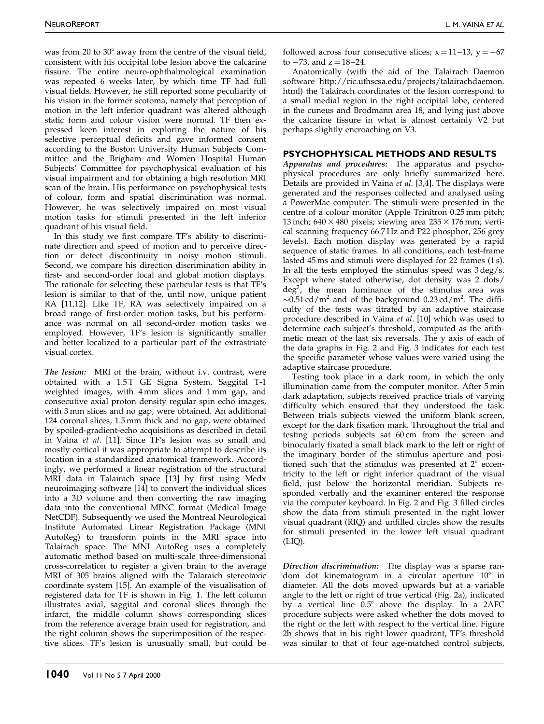was from 20 to  $30^{\circ}$  away from the centre of the visual field, consistent with his occipital lobe lesion above the calcarine fissure. The entire neuro-ophthalmological examination was repeated 6 weeks later, by which time TF had full visual fields. However, he still reported some peculiarity of his vision in the former scotoma, namely that perception of motion in the left inferior quadrant was altered although static form and colour vision were normal. TF then expressed keen interest in exploring the nature of his selective perceptual deficits and gave informed consent according to the Boston University Human Subjects Committee and the Brigham and Women Hospital Human Subjects' Committee for psychophysical evaluation of his visual impairment and for obtaining a high resolution MRI scan of the brain. His performance on psychophysical tests of colour, form and spatial discrimination was normal. However, he was selectively impaired on most visual motion tasks for stimuli presented in the left inferior quadrant of his visual field.

In this study we first compare TF's ability to discriminate direction and speed of motion and to perceive direction or detect discontinuity in noisy motion stimuli. Second, we compare his direction discrimination ability in first- and second-order local and global motion displays. The rationale for selecting these particular tests is that TF's lesion is similar to that of the, until now, unique patient RA [\[11,12\].](#page-5-0) Like TF, RA was selectively impaired on a broad range of first-order motion tasks, but his performance was normal on all second-order motion tasks we employed. However, TF's lesion is significantly smaller and better localized to a particular part of the extrastriate visual cortex.

The lesion: MRI of the brain, without i.v. contrast, were obtained with a 1.5T GE Signa System. Saggital T-1 weighted images, with 4 mm slices and 1 mm gap, and consecutive axial proton density regular spin echo images, with 3 mm slices and no gap, were obtained. An additional 124 coronal slices, 1.5 mm thick and no gap, were obtained by spoiled-gradient-echo acquisitions as described in detail in Vaina et al. [\[11\].](#page-5-0) Since TF's lesion was so small and mostly cortical it was appropriate to attempt to describe its location in a standardized anatomical framework. Accordingly, we performed a linear registration of the structural MRI data in Talairach space [\[13\]](#page-5-0) by first using Medx neuroimaging software [\[14\]](#page-5-0) to convert the individual slices into a 3D volume and then converting the raw imaging data into the conventional MINC format (Medical Image NetCDF). Subsequently we used the Montreal Neurological Institute Automated Linear Registration Package (MNI AutoReg) to transform points in the MRI space into Talairach space. The MNI AutoReg uses a completely automatic method based on multi-scale three-dimensional cross-correlation to register a given brain to the average MRI of 305 brains aligned with the Talaraich stereotaxic coordinate system [\[15\].](#page-5-0) An example of the visualisation of registered data for TF is shown in Fig. [1.](#page-2-0) The left column illustrates axial, saggital and coronal slices through the infarct, the middle column shows corresponding slices from the reference average brain used for registration, and the right column shows the superimposition of the respective slices. TF's lesion is unusually small, but could be

followed across four consecutive slices;  $x = 11-13$ ,  $y = -67$ to  $-73$ , and  $z = 18-24$ .

Anatomically (with the aid of the Talairach Daemon software http://ric.uthscsa.edu/projects/talairachdaemon. html) the Talairach coordinates of the lesion correspond to a small medial region in the right occipital lobe, centered in the cuneus and Brodmann area 18, and lying just above the calcarine fissure in what is almost certainly V2 but perhaps slightly encroaching on V3.

#### PSYCHOPHYSICAL METHODS AND RESULTS

Apparatus and procedures: The apparatus and psychophysical procedures are only briefly summarized here. Details are provided in Vaina et al. [\[3,4\].](#page-5-0) The displays were generated and the responses collected and analysed using a PowerMac computer. The stimuli were presented in the centre of a colour monitor (Apple Trinitron 0.25 mm pitch; 13 inch;  $640 \times 480$  pixels; viewing area  $235 \times 176$  mm; vertical scanning frequency 66.7 Hz and P22 phosphor, 256 grey levels). Each motion display was generated by a rapid sequence of static frames. In all conditions, each test-frame lasted 45 ms and stimuli were displayed for 22 frames (1 s). In all the tests employed the stimulus speed was 3 deg/s. Except where stated otherwise, dot density was 2 dots/  $\text{deg}^2$ , the mean luminance of the stimulus area was  $\sim$ 0.51 cd/m<sup>2</sup> and of the background 0.23 cd/m<sup>2</sup>. The difficulty of the tests was titrated by an adaptive staircase procedure described in Vaina et al. [\[10\]](#page-5-0) which was used to determine each subject's threshold, computed as the arithmetic mean of the last six reversals. The y axis of each of the data graphs in Fig. [2](#page-3-0) and Fig. [3](#page-3-0) indicates for each test the specific parameter whose values were varied using the adaptive staircase procedure.

Testing took place in a dark room, in which the only illumination came from the computer monitor. After 5 min dark adaptation, subjects received practice trials of varying difficulty which ensured that they understood the task. Between trials subjects viewed the uniform blank screen, except for the dark fixation mark. Throughout the trial and testing periods subjects sat 60 cm from the screen and binocularly fixated a small black mark to the left or right of the imaginary border of the stimulus aperture and positioned such that the stimulus was presented at  $2^{\circ}$  eccentricity to the left or right inferior quadrant of the visual field, just below the horizontal meridian. Subjects responded verbally and the examiner entered the response via the computer keyboard. In Fig[. 2 a](#page-3-0)nd Fig. 3 filled circles show the data from stimuli presented in the right lower visual quadrant (RIQ) and unfilled circles show the results for stimuli presented in the lower left visual quadrant  $(LIQ).$ 

Direction discrimination: The display was a sparse random dot kinematogram in a circular aperture  $10^{\circ}$  in diameter. All the dots moved upwards but at a variable angle to the left or right of true vertical (Fig. [2a](#page-3-0)), indicated by a vertical line  $0.5^{\circ}$  above the display. In a 2AFC procedure subjects were asked whether the dots moved to the right or the left with respect to the vertical line. Figure [2b](#page-3-0) shows that in his right lower quadrant, TF's threshold was similar to that of four age-matched control subjects,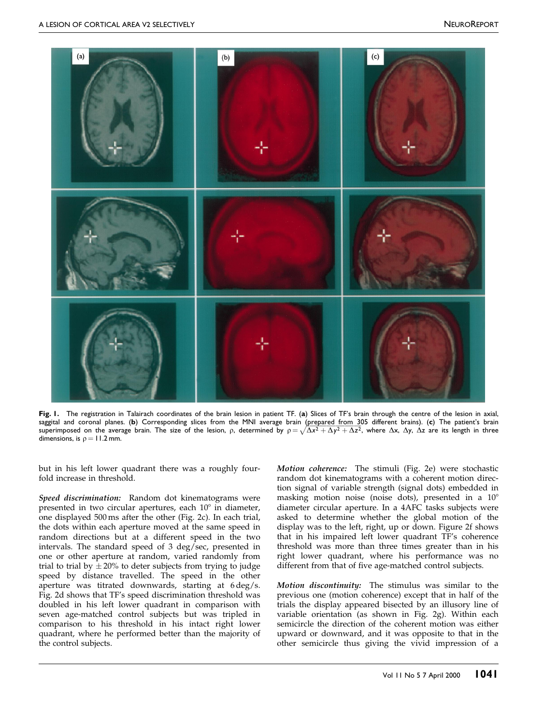<span id="page-2-0"></span>

Fig. 1. The registration in Talairach coordinates of the brain lesion in patient TF. (a) Slices of TF's brain through the centre of the lesion in axial, saggital and coronal planes. (b) Corresponding slices from the MNI average brain (prepared from 305 different brains). (c) The patient's brain superimposed on the average brain. The size of the lesion, p, determined by  $\rho = \sqrt{\Delta x^2 + \Delta y^2 + \Delta z^2}$ , where  $\Delta x$ ,  $\Delta y$ ,  $\Delta z$  are its length in three dimensions, is  $\rho = 11.2$  mm.

but in his left lower quadrant there was a roughly fourfold increase in threshold.

Speed discrimination: Random dot kinematograms were presented in two circular apertures, each  $10^{\circ}$  in diameter, one displayed 500 ms after the other (Fig[. 2c](#page-3-0)). In each trial, the dots within each aperture moved at the same speed in random directions but at a different speed in the two intervals. The standard speed of 3 deg/sec, presented in one or other aperture at random, varied randomly from trial to trial by  $\pm 20\%$  to deter subjects from trying to judge speed by distance travelled. The speed in the other aperture was titrated downwards, starting at 6 deg/s. Fig[. 2d](#page-3-0) shows that TF's speed discrimination threshold was doubled in his left lower quadrant in comparison with seven age-matched control subjects but was tripled in comparison to his threshold in his intact right lower quadrant, where he performed better than the majority of the control subjects.

Motion coherence: The stimuli (Fig. [2e](#page-3-0)) were stochastic random dot kinematograms with a coherent motion direction signal of variable strength (signal dots) embedded in masking motion noise (noise dots), presented in a  $10^{\circ}$ diameter circular aperture. In a 4AFC tasks subjects were asked to determine whether the global motion of the display was to the left, right, up or down. Figur[e 2f](#page-3-0) shows that in his impaired left lower quadrant TF's coherence threshold was more than three times greater than in his right lower quadrant, where his performance was no different from that of five age-matched control subjects.

Motion discontinuity: The stimulus was similar to the previous one (motion coherence) except that in half of the trials the display appeared bisected by an illusory line of variable orientation (as shown in Fig. [2g](#page-3-0)). Within each semicircle the direction of the coherent motion was either upward or downward, and it was opposite to that in the other semicircle thus giving the vivid impression of a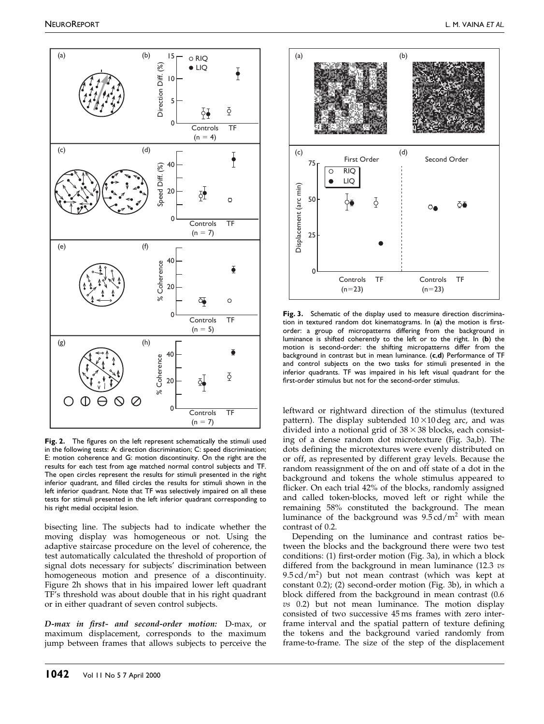<span id="page-3-0"></span>

Fig. 2. The figures on the left represent schematically the stimuli used in the following tests: A: direction discrimination; C: speed discrimination; E: motion coherence and G: motion discontinuity. On the right are the results for each test from age matched normal control subjects and TF. The open circles represent the results for stimuli presented in the right inferior quadrant, and filled circles the results for stimuli shown in the left inferior quadrant. Note that TF was selectively impaired on all these tests for stimuli presented in the left inferior quadrant corresponding to his right medial occipital lesion.

bisecting line. The subjects had to indicate whether the moving display was homogeneous or not. Using the adaptive staircase procedure on the level of coherence, the test automatically calculated the threshold of proportion of signal dots necessary for subjects' discrimination between homogeneous motion and presence of a discontinuity. Figure 2h shows that in his impaired lower left quadrant TF's threshold was about double that in his right quadrant or in either quadrant of seven control subjects.

D-max in first- and second-order motion: D-max, or maximum displacement, corresponds to the maximum jump between frames that allows subjects to perceive the



Fig. 3. Schematic of the display used to measure direction discrimination in textured random dot kinematograms. In (a) the motion is firstorder: a group of micropatterns differing from the background in luminance is shifted coherently to the left or to the right. In (b) the motion is second-order: the shifting micropatterns differ from the background in contrast but in mean luminance. (c,d) Performance of TF and control subjects on the two tasks for stimuli presented in the inferior quadrants. TF was impaired in his left visual quadrant for the first-order stimulus but not for the second-order stimulus.

leftward or rightward direction of the stimulus (textured pattern). The display subtended  $10 \times 10$  deg arc, and was divided into a notional grid of  $38 \times 38$  blocks, each consisting of a dense random dot microtexture (Fig. 3a,b). The dots defining the microtextures were evenly distributed on or off, as represented by different gray levels. Because the random reassignment of the on and off state of a dot in the background and tokens the whole stimulus appeared to flicker. On each trial 42% of the blocks, randomly assigned and called token-blocks, moved left or right while the remaining 58% constituted the background. The mean luminance of the background was  $9.5 \text{ cd/m}^2$  with mean contrast of 0.2.

Depending on the luminance and contrast ratios between the blocks and the background there were two test conditions: (1) first-order motion (Fig. 3a), in which a block differed from the background in mean luminance (12.3 vs  $9.5 \text{ cd/m}^2$ ) but not mean contrast (which was kept at constant 0.2); (2) second-order motion (Fig. 3b), in which a block differed from the background in mean contrast (0.6  $vs$  0.2) but not mean luminance. The motion display consisted of two successive 45 ms frames with zero interframe interval and the spatial pattern of texture defining the tokens and the background varied randomly from frame-to-frame. The size of the step of the displacement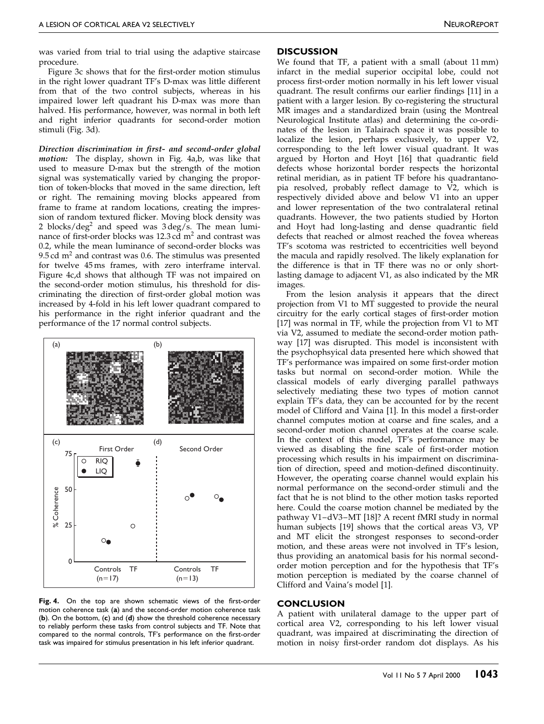was varied from trial to trial using the adaptive staircase procedure.

Figure [3c](#page-3-0) shows that for the first-order motion stimulus in the right lower quadrant TF's D-max was little different from that of the two control subjects, whereas in his impaired lower left quadrant his D-max was more than halved. His performance, however, was normal in both left and right inferior quadrants for second-order motion stimuli (Fig[. 3d](#page-3-0)).

Direction discrimination in first- and second-order global motion: The display, shown in Fig. 4a,b, was like that used to measure D-max but the strength of the motion signal was systematically varied by changing the proportion of token-blocks that moved in the same direction, left or right. The remaining moving blocks appeared from frame to frame at random locations, creating the impression of random textured flicker. Moving block density was 2 blocks/deg<sup>2</sup> and speed was  $3 \text{ deg/s}$ . The mean luminance of first-order blocks was  $12.3$  cd m<sup>2</sup> and contrast was 0.2, while the mean luminance of second-order blocks was 9.5 cd  $m<sup>2</sup>$  and contrast was 0.6. The stimulus was presented for twelve 45 ms frames, with zero interframe interval. Figure 4c,d shows that although TF was not impaired on the second-order motion stimulus, his threshold for discriminating the direction of first-order global motion was increased by 4-fold in his left lower quadrant compared to his performance in the right inferior quadrant and the performance of the 17 normal control subjects.



Fig. 4. On the top are shown schematic views of the first-order motion coherence task (a) and the second-order motion coherence task (b). On the bottom, (c) and (d) show the threshold coherence necessary to reliably perform these tasks from control subjects and TF. Note that compared to the normal controls, TF's performance on the first-order task was impaired for stimulus presentation in his left inferior quadrant.

#### **DISCUSSION**

We found that TF, a patient with a small (about 11 mm) infarct in the medial superior occipital lobe, could not process first-order motion normally in his left lower visual quadrant. The result confirms our earlier findings [\[11\]](#page-5-0) in a patient with a larger lesion. By co-registering the structural MR images and a standardized brain (using the Montreal Neurological Institute atlas) and determining the co-ordinates of the lesion in Talairach space it was possible to localize the lesion, perhaps exclusively, to upper V2, corresponding to the left lower visual quadrant. It was argued by Horton and Hoyt [\[16\]](#page-5-0) that quadrantic field defects whose horizontal border respects the horizontal retinal meridian, as in patient TF before his quadrantanopia resolved, probably reflect damage to  $\overline{V2}$ , which is respectively divided above and below V1 into an upper and lower representation of the two contralateral retinal quadrants. However, the two patients studied by Horton and Hoyt had long-lasting and dense quadrantic field defects that reached or almost reached the fovea whereas TF's scotoma was restricted to eccentricities well beyond the macula and rapidly resolved. The likely explanation for the difference is that in TF there was no or only shortlasting damage to adjacent V1, as also indicated by the MR images.

From the lesion analysis it appears that the direct projection from V1 to MT suggested to provide the neural circuitry for the early cortical stages of first-order motion [\[17\]](#page-5-0) was normal in TF, while the projection from V1 to MT via V2, assumed to mediate the second-order motion pathway [\[17\]](#page-5-0) was disrupted. This model is inconsistent with the psychophsyical data presented here which showed that TF's performance was impaired on some first-order motion tasks but normal on second-order motion. While the classical models of early diverging parallel pathways selectively mediating these two types of motion cannot explain TF's data, they can be accounted for by the recent model of Clifford and Vaina [\[1\].](#page-5-0) In this model a first-order channel computes motion at coarse and fine scales, and a second-order motion channel operates at the coarse scale. In the context of this model, TF's performance may be viewed as disabling the fine scale of first-order motion processing which results in his impairment on discrimination of direction, speed and motion-defined discontinuity. However, the operating coarse channel would explain his normal performance on the second-order stimuli and the fact that he is not blind to the other motion tasks reported here. Could the coarse motion channel be mediated by the pathway V1-dV3-MT [\[18\]?](#page-5-0) A recent fMRI study in normal human subjects [\[19\]](#page-5-0) shows that the cortical areas V3, VP and MT elicit the strongest responses to second-order motion, and these areas were not involved in TF's lesion, thus providing an anatomical basis for his normal secondorder motion perception and for the hypothesis that TF's motion perception is mediated by the coarse channel of Clifford and Vaina's model [\[1\].](#page-5-0)

# **CONCLUSION**

A patient with unilateral damage to the upper part of cortical area V2, corresponding to his left lower visual quadrant, was impaired at discriminating the direction of motion in noisy first-order random dot displays. As his